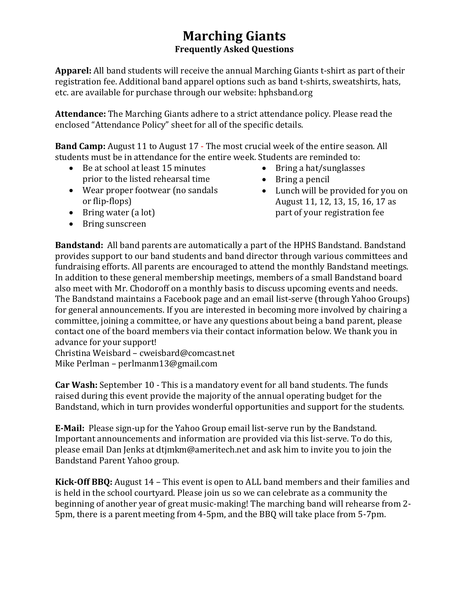## **Marching Giants Frequently Asked Questions**

**Apparel:** All band students will receive the annual Marching Giants t-shirt as part of their registration fee. Additional band apparel options such as band t-shirts, sweatshirts, hats, etc. are available for purchase through our website: hphsband.org

**Attendance:** The Marching Giants adhere to a strict attendance policy. Please read the enclosed "Attendance Policy" sheet for all of the specific details.

**Band Camp:** August 11 to August 17 - The most crucial week of the entire season. All students must be in attendance for the entire week. Students are reminded to:

- Be at school at least 15 minutes prior to the listed rehearsal time
- Wear proper footwear (no sandals or flip-flops)
- Bring water (a lot)
- Bring sunscreen
- Bring a hat/sunglasses
- Bring a pencil
- Lunch will be provided for you on August 11, 12, 13, 15, 16, 17 as part of your registration fee

**Bandstand:** All band parents are automatically a part of the HPHS Bandstand. Bandstand provides support to our band students and band director through various committees and fundraising efforts. All parents are encouraged to attend the monthly Bandstand meetings. In addition to these general membership meetings, members of a small Bandstand board also meet with Mr. Chodoroff on a monthly basis to discuss upcoming events and needs. The Bandstand maintains a Facebook page and an email list-serve (through Yahoo Groups) for general announcements. If you are interested in becoming more involved by chairing a committee, joining a committee, or have any questions about being a band parent, please contact one of the board members via their contact information below. We thank you in advance for your support!

Christina Weisbard – cweisbard@comcast.net Mike Perlman – perlmanm13@gmail.com

**Car Wash:** September 10 - This is a mandatory event for all band students. The funds raised during this event provide the majority of the annual operating budget for the Bandstand, which in turn provides wonderful opportunities and support for the students.

**E-Mail:** Please sign-up for the Yahoo Group email list-serve run by the Bandstand. Important announcements and information are provided via this list-serve. To do this, please email Dan Jenks at dtjmkm@ameritech.net and ask him to invite you to join the Bandstand Parent Yahoo group.

**Kick-Off BBQ:** August 14 – This event is open to ALL band members and their families and is held in the school courtyard. Please join us so we can celebrate as a community the beginning of another year of great music-making! The marching band will rehearse from 2- 5pm, there is a parent meeting from 4-5pm, and the BBQ will take place from 5-7pm.